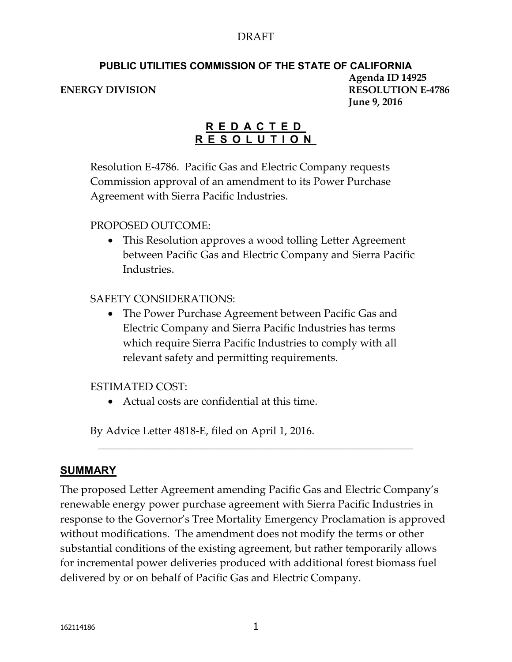#### DRAFT

#### **PUBLIC UTILITIES COMMISSION OF THE STATE OF CALIFORNIA Agenda ID 14925 ENERGY DIVISION RESOLUTION E-4786 June 9, 2016**

#### **R E D A C T E D R E S O L U T I O N**

Resolution E-4786. Pacific Gas and Electric Company requests Commission approval of an amendment to its Power Purchase Agreement with Sierra Pacific Industries.

#### PROPOSED OUTCOME:

• This Resolution approves a wood tolling Letter Agreement between Pacific Gas and Electric Company and Sierra Pacific Industries.

#### SAFETY CONSIDERATIONS:

 The Power Purchase Agreement between Pacific Gas and Electric Company and Sierra Pacific Industries has terms which require Sierra Pacific Industries to comply with all relevant safety and permitting requirements.

#### ESTIMATED COST:

Actual costs are confidential at this time.

By Advice Letter 4818-E, filed on April 1, 2016.

#### **SUMMARY**

The proposed Letter Agreement amending Pacific Gas and Electric Company's renewable energy power purchase agreement with Sierra Pacific Industries in response to the Governor's Tree Mortality Emergency Proclamation is approved without modifications. The amendment does not modify the terms or other substantial conditions of the existing agreement, but rather temporarily allows for incremental power deliveries produced with additional forest biomass fuel delivered by or on behalf of Pacific Gas and Electric Company.

\_\_\_\_\_\_\_\_\_\_\_\_\_\_\_\_\_\_\_\_\_\_\_\_\_\_\_\_\_\_\_\_\_\_\_\_\_\_\_\_\_\_\_\_\_\_\_\_\_\_\_\_\_\_\_\_\_\_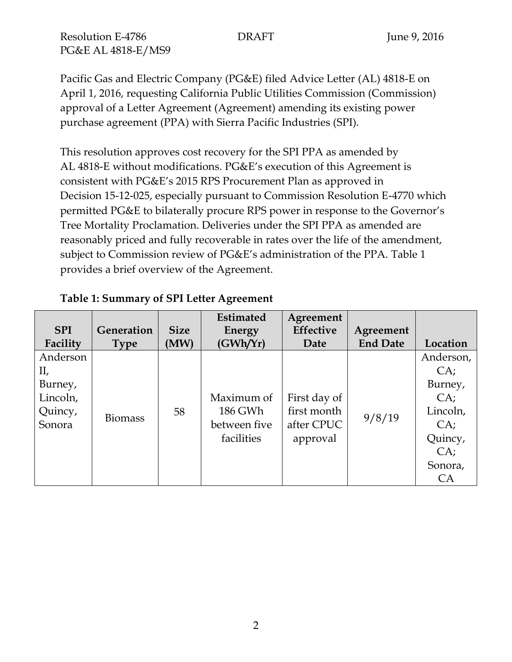Pacific Gas and Electric Company (PG&E) filed Advice Letter (AL) 4818-E on April 1, 2016, requesting California Public Utilities Commission (Commission) approval of a Letter Agreement (Agreement) amending its existing power purchase agreement (PPA) with Sierra Pacific Industries (SPI).

This resolution approves cost recovery for the SPI PPA as amended by AL 4818-E without modifications. PG&E's execution of this Agreement is consistent with PG&E's 2015 RPS Procurement Plan as approved in Decision 15-12-025, especially pursuant to Commission Resolution E-4770 which permitted PG&E to bilaterally procure RPS power in response to the Governor's Tree Mortality Proclamation. Deliveries under the SPI PPA as amended are reasonably priced and fully recoverable in rates over the life of the amendment, subject to Commission review of PG&E's administration of the PPA. Table 1 provides a brief overview of the Agreement.

| <b>SPI</b> | Generation     | <b>Size</b> | <b>Estimated</b><br>Energy            | Agreement<br><b>Effective</b>         | Agreement       |           |
|------------|----------------|-------------|---------------------------------------|---------------------------------------|-----------------|-----------|
| Facility   | <b>Type</b>    | (MW)        | (GWh/Yr)                              | Date                                  | <b>End Date</b> | Location  |
| Anderson   |                |             |                                       |                                       |                 | Anderson, |
| II,        |                |             |                                       |                                       |                 | CA;       |
| Burney,    |                |             |                                       |                                       |                 | Burney,   |
| Lincoln,   |                |             | Maximum of                            | First day of                          |                 | CA;       |
| Quincy,    | <b>Biomass</b> | 58          | 186 GWh<br>between five<br>facilities | first month<br>after CPUC<br>approval | 9/8/19          | Lincoln,  |
| Sonora     |                |             |                                       |                                       |                 | CA;       |
|            |                |             |                                       |                                       |                 | Quincy,   |
|            |                |             |                                       |                                       |                 | CA;       |
|            |                |             |                                       |                                       |                 | Sonora,   |
|            |                |             |                                       |                                       |                 | CA        |

#### **Table 1: Summary of SPI Letter Agreement**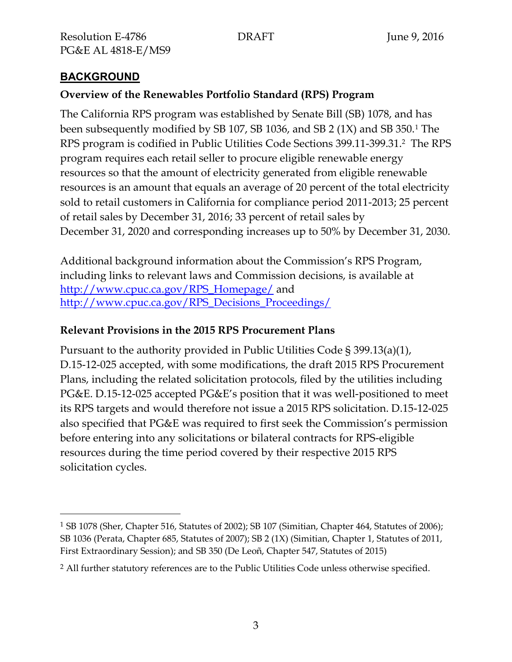# **BACKGROUND**

 $\overline{a}$ 

### **Overview of the Renewables Portfolio Standard (RPS) Program**

The California RPS program was established by Senate Bill (SB) 1078, and has been subsequently modified by SB 107, SB 1036, and SB 2 (1X) and SB 350.<sup>1</sup> The RPS program is codified in Public Utilities Code Sections 399.11-399.31.<sup>2</sup> The RPS program requires each retail seller to procure eligible renewable energy resources so that the amount of electricity generated from eligible renewable resources is an amount that equals an average of 20 percent of the total electricity sold to retail customers in California for compliance period 2011-2013; 25 percent of retail sales by December 31, 2016; 33 percent of retail sales by December 31, 2020 and corresponding increases up to 50% by December 31, 2030.

Additional background information about the Commission's RPS Program, including links to relevant laws and Commission decisions, is available at [http://www.cpuc.ca.gov/RPS\\_Homepage/](http://www.cpuc.ca.gov/RPS_Homepage/) and [http://www.cpuc.ca.gov/RPS\\_Decisions\\_Proceedings/](http://www.cpuc.ca.gov/RPS_Decisions_Proceedings/)

#### **Relevant Provisions in the 2015 RPS Procurement Plans**

Pursuant to the authority provided in Public Utilities Code § 399.13(a)(1), D.15-12-025 accepted, with some modifications, the draft 2015 RPS Procurement Plans, including the related solicitation protocols, filed by the utilities including PG&E. D.15-12-025 accepted PG&E's position that it was well-positioned to meet its RPS targets and would therefore not issue a 2015 RPS solicitation. D.15-12-025 also specified that PG&E was required to first seek the Commission's permission before entering into any solicitations or bilateral contracts for RPS-eligible resources during the time period covered by their respective 2015 RPS solicitation cycles.

<sup>1</sup> SB 1078 (Sher, Chapter 516, Statutes of 2002); SB 107 (Simitian, Chapter 464, Statutes of 2006); SB 1036 (Perata, Chapter 685, Statutes of 2007); SB 2 (1X) (Simitian, Chapter 1, Statutes of 2011, First Extraordinary Session); and SB 350 (De Leoñ, Chapter 547, Statutes of 2015)

<sup>&</sup>lt;sup>2</sup> All further statutory references are to the Public Utilities Code unless otherwise specified.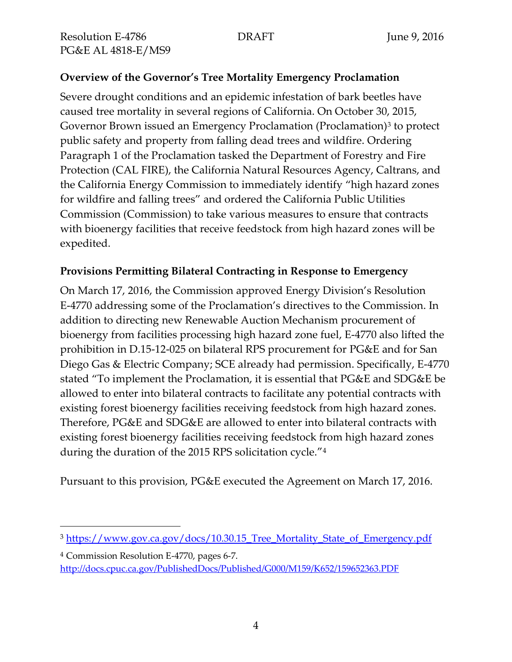$\overline{a}$ 

# **Overview of the Governor's Tree Mortality Emergency Proclamation**

Severe drought conditions and an epidemic infestation of bark beetles have caused tree mortality in several regions of California. On October 30, 2015, Governor Brown issued an Emergency Proclamation (Proclamation)<sup>3</sup> to protect public safety and property from falling dead trees and wildfire. Ordering Paragraph 1 of the Proclamation tasked the Department of Forestry and Fire Protection (CAL FIRE), the California Natural Resources Agency, Caltrans, and the California Energy Commission to immediately identify "high hazard zones for wildfire and falling trees" and ordered the California Public Utilities Commission (Commission) to take various measures to ensure that contracts with bioenergy facilities that receive feedstock from high hazard zones will be expedited.

#### **Provisions Permitting Bilateral Contracting in Response to Emergency**

On March 17, 2016, the Commission approved Energy Division's Resolution E-4770 addressing some of the Proclamation's directives to the Commission. In addition to directing new Renewable Auction Mechanism procurement of bioenergy from facilities processing high hazard zone fuel, E-4770 also lifted the prohibition in D.15-12-025 on bilateral RPS procurement for PG&E and for San Diego Gas & Electric Company; SCE already had permission. Specifically, E-4770 stated "To implement the Proclamation, it is essential that PG&E and SDG&E be allowed to enter into bilateral contracts to facilitate any potential contracts with existing forest bioenergy facilities receiving feedstock from high hazard zones. Therefore, PG&E and SDG&E are allowed to enter into bilateral contracts with existing forest bioenergy facilities receiving feedstock from high hazard zones during the duration of the 2015 RPS solicitation cycle."<sup>4</sup>

Pursuant to this provision, PG&E executed the Agreement on March 17, 2016.

<sup>3</sup> [https://www.gov.ca.gov/docs/10.30.15\\_Tree\\_Mortality\\_State\\_of\\_Emergency.pdf](https://www.gov.ca.gov/docs/10.30.15_Tree_Mortality_State_of_Emergency.pdf)

<sup>4</sup> Commission Resolution E-4770, pages 6-7. <http://docs.cpuc.ca.gov/PublishedDocs/Published/G000/M159/K652/159652363.PDF>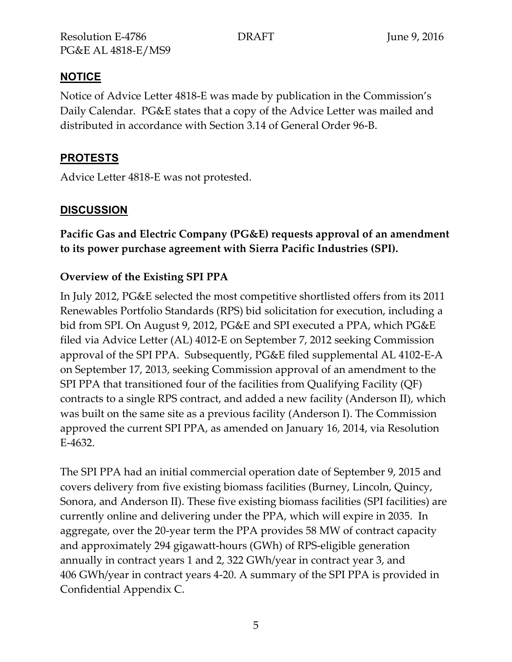# **NOTICE**

Notice of Advice Letter 4818-E was made by publication in the Commission's Daily Calendar. PG&E states that a copy of the Advice Letter was mailed and distributed in accordance with Section 3.14 of General Order 96-B.

# **PROTESTS**

Advice Letter 4818-E was not protested.

# **DISCUSSION**

**Pacific Gas and Electric Company (PG&E) requests approval of an amendment to its power purchase agreement with Sierra Pacific Industries (SPI).**

# **Overview of the Existing SPI PPA**

In July 2012, PG&E selected the most competitive shortlisted offers from its 2011 Renewables Portfolio Standards (RPS) bid solicitation for execution, including a bid from SPI. On August 9, 2012, PG&E and SPI executed a PPA, which PG&E filed via Advice Letter (AL) 4012-E on September 7, 2012 seeking Commission approval of the SPI PPA. Subsequently, PG&E filed supplemental AL 4102-E-A on September 17, 2013, seeking Commission approval of an amendment to the SPI PPA that transitioned four of the facilities from Qualifying Facility (QF) contracts to a single RPS contract, and added a new facility (Anderson II), which was built on the same site as a previous facility (Anderson I). The Commission approved the current SPI PPA, as amended on January 16, 2014, via Resolution E-4632.

The SPI PPA had an initial commercial operation date of September 9, 2015 and covers delivery from five existing biomass facilities (Burney, Lincoln, Quincy, Sonora, and Anderson II). These five existing biomass facilities (SPI facilities) are currently online and delivering under the PPA, which will expire in 2035. In aggregate, over the 20-year term the PPA provides 58 MW of contract capacity and approximately 294 gigawatt-hours (GWh) of RPS-eligible generation annually in contract years 1 and 2, 322 GWh/year in contract year 3, and 406 GWh/year in contract years 4-20. A summary of the SPI PPA is provided in Confidential Appendix C.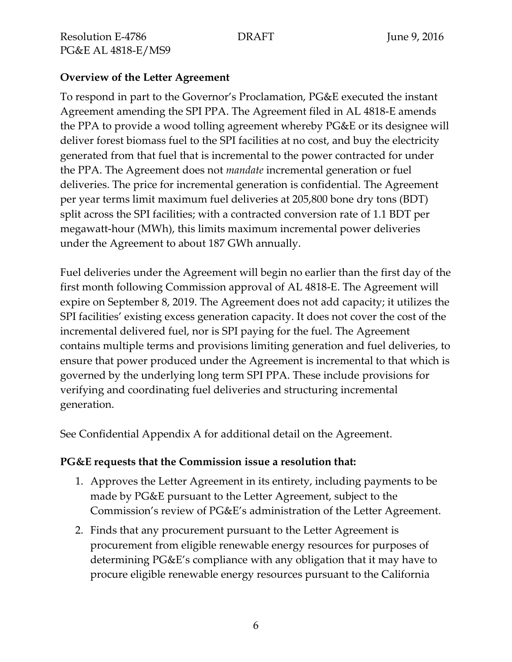#### **Overview of the Letter Agreement**

To respond in part to the Governor's Proclamation, PG&E executed the instant Agreement amending the SPI PPA. The Agreement filed in AL 4818-E amends the PPA to provide a wood tolling agreement whereby PG&E or its designee will deliver forest biomass fuel to the SPI facilities at no cost, and buy the electricity generated from that fuel that is incremental to the power contracted for under the PPA. The Agreement does not *mandate* incremental generation or fuel deliveries. The price for incremental generation is confidential. The Agreement per year terms limit maximum fuel deliveries at 205,800 bone dry tons (BDT) split across the SPI facilities; with a contracted conversion rate of 1.1 BDT per megawatt-hour (MWh), this limits maximum incremental power deliveries under the Agreement to about 187 GWh annually.

Fuel deliveries under the Agreement will begin no earlier than the first day of the first month following Commission approval of AL 4818-E. The Agreement will expire on September 8, 2019. The Agreement does not add capacity; it utilizes the SPI facilities' existing excess generation capacity. It does not cover the cost of the incremental delivered fuel, nor is SPI paying for the fuel. The Agreement contains multiple terms and provisions limiting generation and fuel deliveries, to ensure that power produced under the Agreement is incremental to that which is governed by the underlying long term SPI PPA. These include provisions for verifying and coordinating fuel deliveries and structuring incremental generation.

See Confidential Appendix A for additional detail on the Agreement.

#### **PG&E requests that the Commission issue a resolution that:**

- 1. Approves the Letter Agreement in its entirety, including payments to be made by PG&E pursuant to the Letter Agreement, subject to the Commission's review of PG&E's administration of the Letter Agreement.
- 2. Finds that any procurement pursuant to the Letter Agreement is procurement from eligible renewable energy resources for purposes of determining PG&E's compliance with any obligation that it may have to procure eligible renewable energy resources pursuant to the California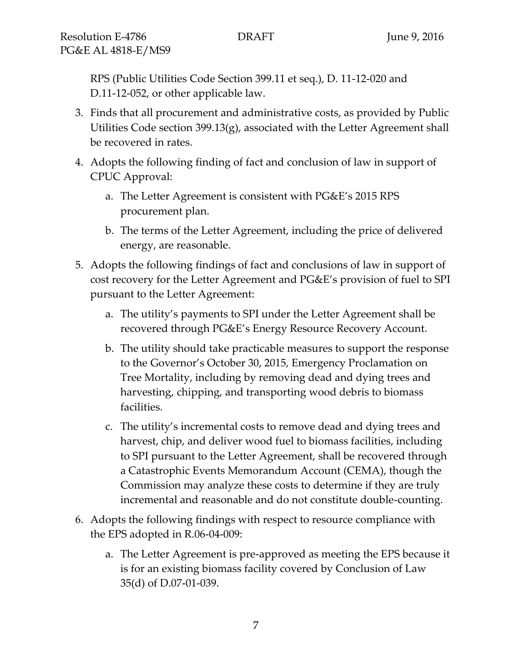RPS (Public Utilities Code Section 399.11 et seq.), D. 11-12-020 and D.11-12-052, or other applicable law.

- 3. Finds that all procurement and administrative costs, as provided by Public Utilities Code section 399.13(g), associated with the Letter Agreement shall be recovered in rates.
- 4. Adopts the following finding of fact and conclusion of law in support of CPUC Approval:
	- a. The Letter Agreement is consistent with PG&E's 2015 RPS procurement plan.
	- b. The terms of the Letter Agreement, including the price of delivered energy, are reasonable.
- 5. Adopts the following findings of fact and conclusions of law in support of cost recovery for the Letter Agreement and PG&E's provision of fuel to SPI pursuant to the Letter Agreement:
	- a. The utility's payments to SPI under the Letter Agreement shall be recovered through PG&E's Energy Resource Recovery Account.
	- b. The utility should take practicable measures to support the response to the Governor's October 30, 2015, Emergency Proclamation on Tree Mortality, including by removing dead and dying trees and harvesting, chipping, and transporting wood debris to biomass facilities.
	- c. The utility's incremental costs to remove dead and dying trees and harvest, chip, and deliver wood fuel to biomass facilities, including to SPI pursuant to the Letter Agreement, shall be recovered through a Catastrophic Events Memorandum Account (CEMA), though the Commission may analyze these costs to determine if they are truly incremental and reasonable and do not constitute double-counting.
- 6. Adopts the following findings with respect to resource compliance with the EPS adopted in R.06-04-009:
	- a. The Letter Agreement is pre-approved as meeting the EPS because it is for an existing biomass facility covered by Conclusion of Law 35(d) of D.07-01-039.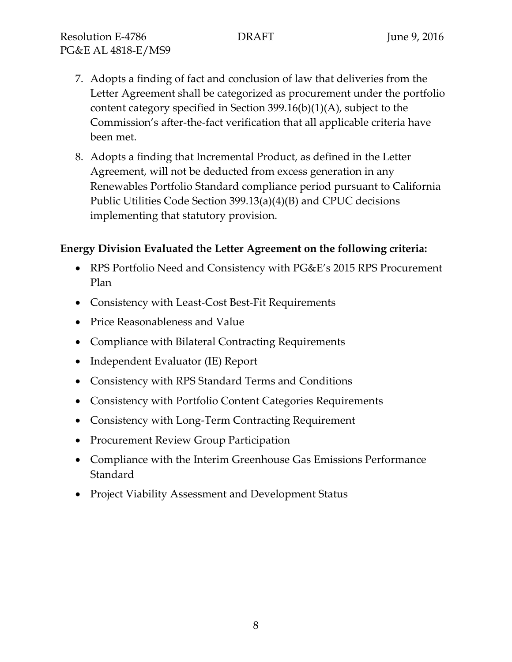- 7. Adopts a finding of fact and conclusion of law that deliveries from the Letter Agreement shall be categorized as procurement under the portfolio content category specified in Section 399.16(b)(1)(A), subject to the Commission's after-the-fact verification that all applicable criteria have been met.
- 8. Adopts a finding that Incremental Product, as defined in the Letter Agreement, will not be deducted from excess generation in any Renewables Portfolio Standard compliance period pursuant to California Public Utilities Code Section 399.13(a)(4)(B) and CPUC decisions implementing that statutory provision.

#### **Energy Division Evaluated the Letter Agreement on the following criteria:**

- RPS Portfolio Need and Consistency with PG&E's 2015 RPS Procurement Plan
- Consistency with Least-Cost Best-Fit Requirements
- Price Reasonableness and Value
- Compliance with Bilateral Contracting Requirements
- Independent Evaluator (IE) Report
- Consistency with RPS Standard Terms and Conditions
- Consistency with Portfolio Content Categories Requirements
- Consistency with Long-Term Contracting Requirement
- Procurement Review Group Participation
- Compliance with the Interim Greenhouse Gas Emissions Performance Standard
- Project Viability Assessment and Development Status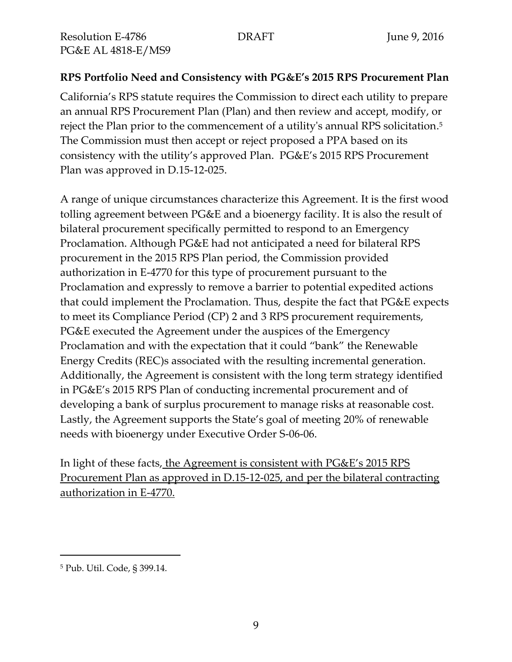#### **RPS Portfolio Need and Consistency with PG&E's 2015 RPS Procurement Plan**

California's RPS statute requires the Commission to direct each utility to prepare an annual RPS Procurement Plan (Plan) and then review and accept, modify, or reject the Plan prior to the commencement of a utility's annual RPS solicitation. 5 The Commission must then accept or reject proposed a PPA based on its consistency with the utility's approved Plan. PG&E's 2015 RPS Procurement Plan was approved in D.15-12-025.

A range of unique circumstances characterize this Agreement. It is the first wood tolling agreement between PG&E and a bioenergy facility. It is also the result of bilateral procurement specifically permitted to respond to an Emergency Proclamation. Although PG&E had not anticipated a need for bilateral RPS procurement in the 2015 RPS Plan period, the Commission provided authorization in E-4770 for this type of procurement pursuant to the Proclamation and expressly to remove a barrier to potential expedited actions that could implement the Proclamation. Thus, despite the fact that PG&E expects to meet its Compliance Period (CP) 2 and 3 RPS procurement requirements, PG&E executed the Agreement under the auspices of the Emergency Proclamation and with the expectation that it could "bank" the Renewable Energy Credits (REC)s associated with the resulting incremental generation. Additionally, the Agreement is consistent with the long term strategy identified in PG&E's 2015 RPS Plan of conducting incremental procurement and of developing a bank of surplus procurement to manage risks at reasonable cost. Lastly, the Agreement supports the State's goal of meeting 20% of renewable needs with bioenergy under Executive Order S-06-06.

In light of these facts, the Agreement is consistent with PG&E's 2015 RPS Procurement Plan as approved in D.15-12-025, and per the bilateral contracting authorization in E-4770.

 $\overline{a}$ 

<sup>5</sup> Pub. Util. Code, § 399.14.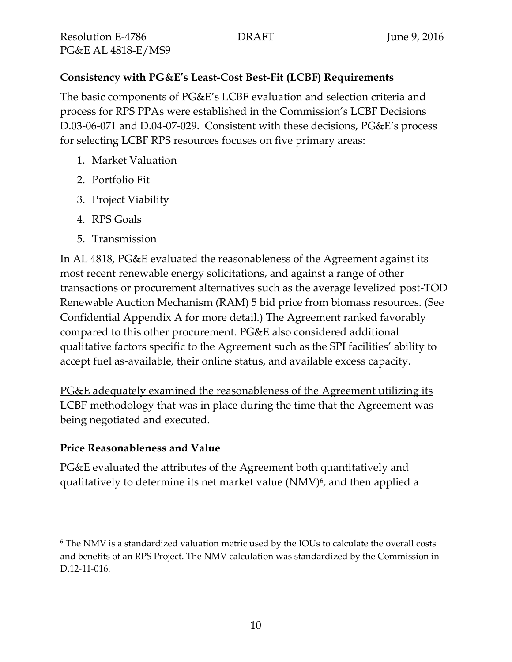# **Consistency with PG&E's Least-Cost Best-Fit (LCBF) Requirements**

The basic components of PG&E's LCBF evaluation and selection criteria and process for RPS PPAs were established in the Commission's LCBF Decisions D.03-06-071 and D.04-07-029. Consistent with these decisions, PG&E's process for selecting LCBF RPS resources focuses on five primary areas:

- 1. Market Valuation
- 2. Portfolio Fit
- 3. Project Viability
- 4. RPS Goals
- 5. Transmission

In AL 4818, PG&E evaluated the reasonableness of the Agreement against its most recent renewable energy solicitations, and against a range of other transactions or procurement alternatives such as the average levelized post-TOD Renewable Auction Mechanism (RAM) 5 bid price from biomass resources. (See Confidential Appendix A for more detail.) The Agreement ranked favorably compared to this other procurement. PG&E also considered additional qualitative factors specific to the Agreement such as the SPI facilities' ability to accept fuel as-available, their online status, and available excess capacity.

PG&E adequately examined the reasonableness of the Agreement utilizing its LCBF methodology that was in place during the time that the Agreement was being negotiated and executed.

# **Price Reasonableness and Value**

 $\overline{a}$ 

PG&E evaluated the attributes of the Agreement both quantitatively and qualitatively to determine its net market value (NMV) 6 , and then applied a

<sup>6</sup> The NMV is a standardized valuation metric used by the IOUs to calculate the overall costs and benefits of an RPS Project. The NMV calculation was standardized by the Commission in D.12-11-016.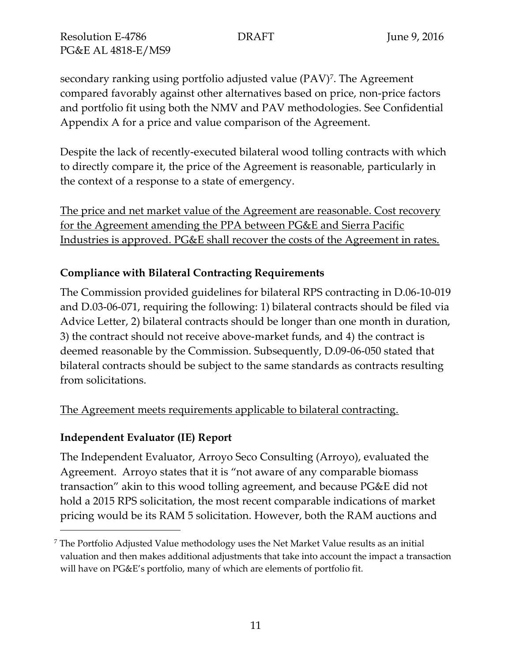secondary ranking using portfolio adjusted value (PAV)<sup>7</sup> . The Agreement compared favorably against other alternatives based on price, non-price factors and portfolio fit using both the NMV and PAV methodologies. See Confidential Appendix A for a price and value comparison of the Agreement.

Despite the lack of recently-executed bilateral wood tolling contracts with which to directly compare it, the price of the Agreement is reasonable, particularly in the context of a response to a state of emergency.

The price and net market value of the Agreement are reasonable. Cost recovery for the Agreement amending the PPA between PG&E and Sierra Pacific Industries is approved. PG&E shall recover the costs of the Agreement in rates.

# **Compliance with Bilateral Contracting Requirements**

The Commission provided guidelines for bilateral RPS contracting in D.06-10-019 and D.03-06-071, requiring the following: 1) bilateral contracts should be filed via Advice Letter, 2) bilateral contracts should be longer than one month in duration, 3) the contract should not receive above-market funds, and 4) the contract is deemed reasonable by the Commission. Subsequently, D.09-06-050 stated that bilateral contracts should be subject to the same standards as contracts resulting from solicitations.

# The Agreement meets requirements applicable to bilateral contracting.

# **Independent Evaluator (IE) Report**

 $\overline{a}$ 

The Independent Evaluator, Arroyo Seco Consulting (Arroyo), evaluated the Agreement. Arroyo states that it is "not aware of any comparable biomass transaction" akin to this wood tolling agreement, and because PG&E did not hold a 2015 RPS solicitation, the most recent comparable indications of market pricing would be its RAM 5 solicitation. However, both the RAM auctions and

 $^7$  The Portfolio Adjusted Value methodology uses the Net Market Value results as an initial valuation and then makes additional adjustments that take into account the impact a transaction will have on PG&E's portfolio, many of which are elements of portfolio fit.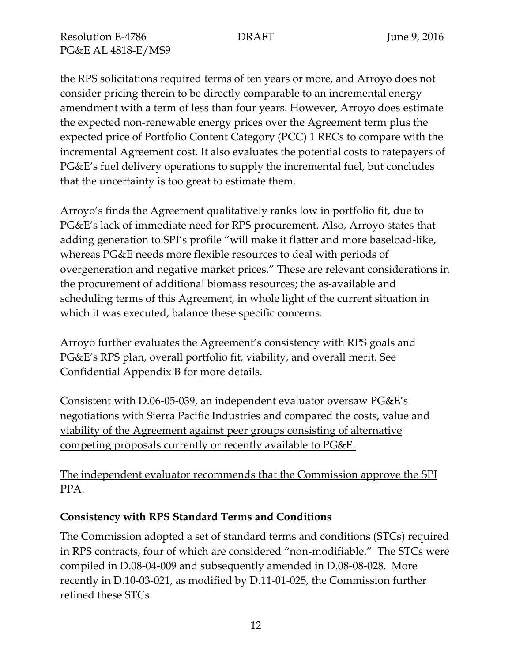the RPS solicitations required terms of ten years or more, and Arroyo does not consider pricing therein to be directly comparable to an incremental energy amendment with a term of less than four years. However, Arroyo does estimate the expected non-renewable energy prices over the Agreement term plus the expected price of Portfolio Content Category (PCC) 1 RECs to compare with the incremental Agreement cost. It also evaluates the potential costs to ratepayers of PG&E's fuel delivery operations to supply the incremental fuel, but concludes that the uncertainty is too great to estimate them.

Arroyo's finds the Agreement qualitatively ranks low in portfolio fit, due to PG&E's lack of immediate need for RPS procurement. Also, Arroyo states that adding generation to SPI's profile "will make it flatter and more baseload-like, whereas PG&E needs more flexible resources to deal with periods of overgeneration and negative market prices." These are relevant considerations in the procurement of additional biomass resources; the as-available and scheduling terms of this Agreement, in whole light of the current situation in which it was executed, balance these specific concerns.

Arroyo further evaluates the Agreement's consistency with RPS goals and PG&E's RPS plan, overall portfolio fit, viability, and overall merit. See Confidential Appendix B for more details.

Consistent with D.06-05-039, an independent evaluator oversaw PG&E's negotiations with Sierra Pacific Industries and compared the costs, value and viability of the Agreement against peer groups consisting of alternative competing proposals currently or recently available to PG&E.

The independent evaluator recommends that the Commission approve the SPI PPA.

#### **Consistency with RPS Standard Terms and Conditions**

The Commission adopted a set of standard terms and conditions (STCs) required in RPS contracts, four of which are considered "non-modifiable." The STCs were compiled in D.08-04-009 and subsequently amended in D.08-08-028. More recently in D.10-03-021, as modified by D.11-01-025, the Commission further refined these STCs.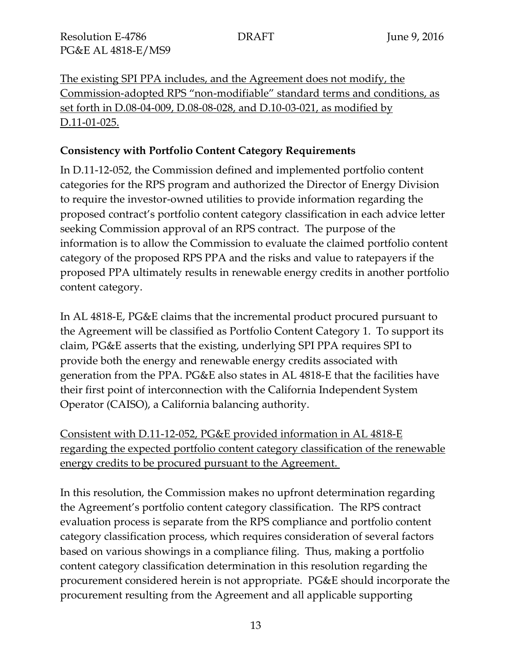The existing SPI PPA includes, and the Agreement does not modify, the Commission-adopted RPS "non-modifiable" standard terms and conditions, as set forth in D.08-04-009, D.08-08-028, and D.10-03-021, as modified by D.11-01-025.

#### **Consistency with Portfolio Content Category Requirements**

In D.11-12-052, the Commission defined and implemented portfolio content categories for the RPS program and authorized the Director of Energy Division to require the investor-owned utilities to provide information regarding the proposed contract's portfolio content category classification in each advice letter seeking Commission approval of an RPS contract. The purpose of the information is to allow the Commission to evaluate the claimed portfolio content category of the proposed RPS PPA and the risks and value to ratepayers if the proposed PPA ultimately results in renewable energy credits in another portfolio content category.

In AL 4818-E, PG&E claims that the incremental product procured pursuant to the Agreement will be classified as Portfolio Content Category 1. To support its claim, PG&E asserts that the existing, underlying SPI PPA requires SPI to provide both the energy and renewable energy credits associated with generation from the PPA. PG&E also states in AL 4818-E that the facilities have their first point of interconnection with the California Independent System Operator (CAISO), a California balancing authority.

Consistent with D.11-12-052, PG&E provided information in AL 4818-E regarding the expected portfolio content category classification of the renewable energy credits to be procured pursuant to the Agreement.

In this resolution, the Commission makes no upfront determination regarding the Agreement's portfolio content category classification. The RPS contract evaluation process is separate from the RPS compliance and portfolio content category classification process, which requires consideration of several factors based on various showings in a compliance filing. Thus, making a portfolio content category classification determination in this resolution regarding the procurement considered herein is not appropriate. PG&E should incorporate the procurement resulting from the Agreement and all applicable supporting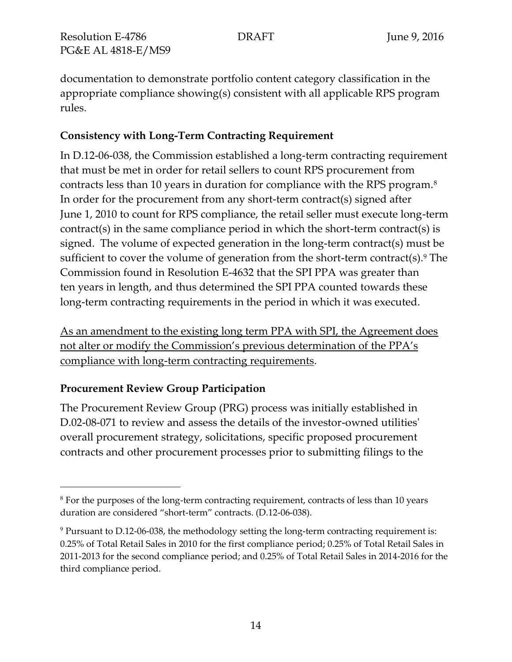documentation to demonstrate portfolio content category classification in the appropriate compliance showing(s) consistent with all applicable RPS program rules.

### **Consistency with Long-Term Contracting Requirement**

In D.12-06-038, the Commission established a long-term contracting requirement that must be met in order for retail sellers to count RPS procurement from contracts less than 10 years in duration for compliance with the RPS program. $^8$ In order for the procurement from any short-term contract(s) signed after June 1, 2010 to count for RPS compliance, the retail seller must execute long-term contract(s) in the same compliance period in which the short-term contract(s) is signed. The volume of expected generation in the long-term contract(s) must be sufficient to cover the volume of generation from the short-term contract(s).<sup>9</sup> The Commission found in Resolution E-4632 that the SPI PPA was greater than ten years in length, and thus determined the SPI PPA counted towards these long-term contracting requirements in the period in which it was executed.

As an amendment to the existing long term PPA with SPI, the Agreement does not alter or modify the Commission's previous determination of the PPA's compliance with long-term contracting requirements.

# **Procurement Review Group Participation**

 $\overline{a}$ 

The Procurement Review Group (PRG) process was initially established in D.02-08-071 to review and assess the details of the investor-owned utilities' overall procurement strategy, solicitations, specific proposed procurement contracts and other procurement processes prior to submitting filings to the

<sup>&</sup>lt;sup>8</sup> For the purposes of the long-term contracting requirement, contracts of less than 10 years duration are considered "short-term" contracts. (D.12-06-038).

<sup>9</sup> Pursuant to D.12-06-038, the methodology setting the long-term contracting requirement is: 0.25% of Total Retail Sales in 2010 for the first compliance period; 0.25% of Total Retail Sales in 2011-2013 for the second compliance period; and 0.25% of Total Retail Sales in 2014-2016 for the third compliance period.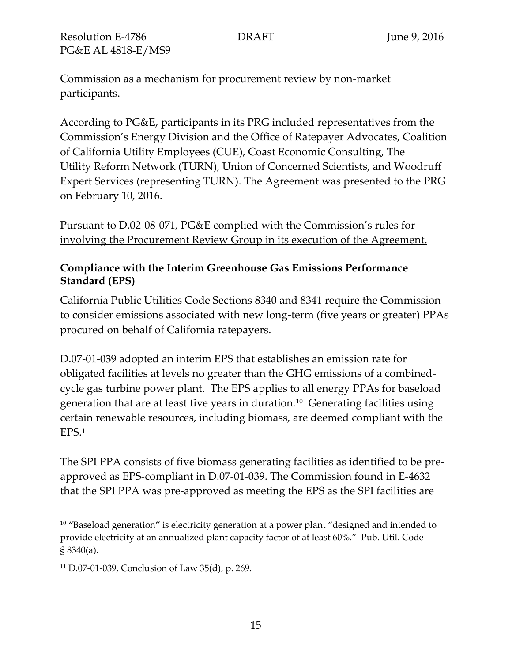Commission as a mechanism for procurement review by non-market participants.

According to PG&E, participants in its PRG included representatives from the Commission's Energy Division and the Office of Ratepayer Advocates, Coalition of California Utility Employees (CUE), Coast Economic Consulting, The Utility Reform Network (TURN), Union of Concerned Scientists, and Woodruff Expert Services (representing TURN). The Agreement was presented to the PRG on February 10, 2016.

Pursuant to D.02-08-071, PG&E complied with the Commission's rules for involving the Procurement Review Group in its execution of the Agreement.

#### **Compliance with the Interim Greenhouse Gas Emissions Performance Standard (EPS)**

California Public Utilities Code Sections 8340 and 8341 require the Commission to consider emissions associated with new long-term (five years or greater) PPAs procured on behalf of California ratepayers.

D.07-01-039 adopted an interim EPS that establishes an emission rate for obligated facilities at levels no greater than the GHG emissions of a combinedcycle gas turbine power plant. The EPS applies to all energy PPAs for baseload generation that are at least five years in duration. $^{10}$  Generating facilities using certain renewable resources, including biomass, are deemed compliant with the EPS.<sup>11</sup>

The SPI PPA consists of five biomass generating facilities as identified to be preapproved as EPS-compliant in D.07-01-039. The Commission found in E-4632 that the SPI PPA was pre-approved as meeting the EPS as the SPI facilities are

 $\overline{a}$ 

<sup>10</sup> **"**Baseload generation**"** is electricity generation at a power plant "designed and intended to provide electricity at an annualized plant capacity factor of at least 60%." Pub. Util. Code § 8340(a).

<sup>11</sup> D.07-01-039, Conclusion of Law 35(d), p. 269.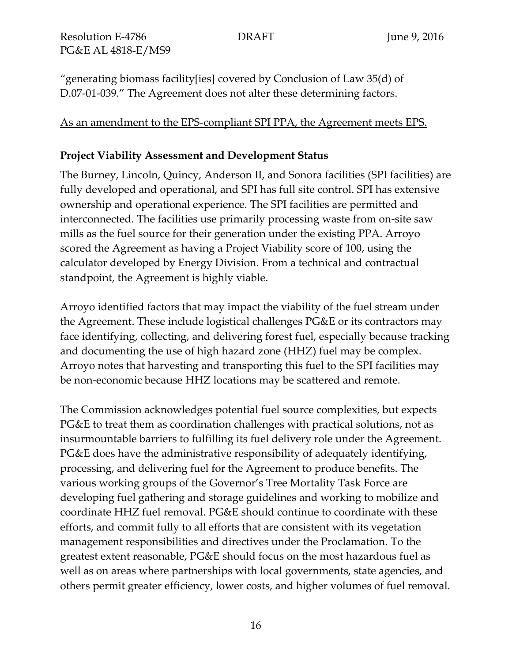"generating biomass facility[ies] covered by Conclusion of Law 35(d) of D.07-01-039." The Agreement does not alter these determining factors.

### As an amendment to the EPS-compliant SPI PPA, the Agreement meets EPS.

### **Project Viability Assessment and Development Status**

The Burney, Lincoln, Quincy, Anderson II, and Sonora facilities (SPI facilities) are fully developed and operational, and SPI has full site control. SPI has extensive ownership and operational experience. The SPI facilities are permitted and interconnected. The facilities use primarily processing waste from on-site saw mills as the fuel source for their generation under the existing PPA. Arroyo scored the Agreement as having a Project Viability score of 100, using the calculator developed by Energy Division. From a technical and contractual standpoint, the Agreement is highly viable.

Arroyo identified factors that may impact the viability of the fuel stream under the Agreement. These include logistical challenges PG&E or its contractors may face identifying, collecting, and delivering forest fuel, especially because tracking and documenting the use of high hazard zone (HHZ) fuel may be complex. Arroyo notes that harvesting and transporting this fuel to the SPI facilities may be non-economic because HHZ locations may be scattered and remote.

The Commission acknowledges potential fuel source complexities, but expects PG&E to treat them as coordination challenges with practical solutions, not as insurmountable barriers to fulfilling its fuel delivery role under the Agreement. PG&E does have the administrative responsibility of adequately identifying, processing, and delivering fuel for the Agreement to produce benefits. The various working groups of the Governor's Tree Mortality Task Force are developing fuel gathering and storage guidelines and working to mobilize and coordinate HHZ fuel removal. PG&E should continue to coordinate with these efforts, and commit fully to all efforts that are consistent with its vegetation management responsibilities and directives under the Proclamation. To the greatest extent reasonable, PG&E should focus on the most hazardous fuel as well as on areas where partnerships with local governments, state agencies, and others permit greater efficiency, lower costs, and higher volumes of fuel removal.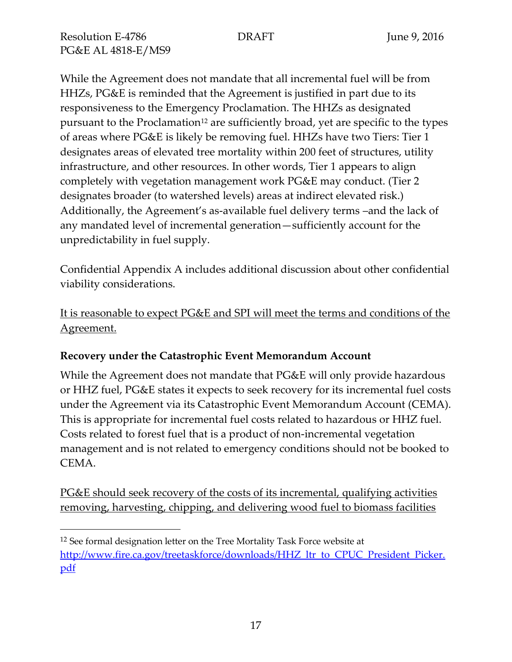While the Agreement does not mandate that all incremental fuel will be from HHZs, PG&E is reminded that the Agreement is justified in part due to its responsiveness to the Emergency Proclamation. The HHZs as designated pursuant to the Proclamation<sup>12</sup> are sufficiently broad, yet are specific to the types of areas where PG&E is likely be removing fuel. HHZs have two Tiers: Tier 1 designates areas of elevated tree mortality within 200 feet of structures, utility infrastructure, and other resources. In other words, Tier 1 appears to align completely with vegetation management work PG&E may conduct. (Tier 2 designates broader (to watershed levels) areas at indirect elevated risk.) Additionally, the Agreement's as-available fuel delivery terms –and the lack of any mandated level of incremental generation—sufficiently account for the unpredictability in fuel supply.

Confidential Appendix A includes additional discussion about other confidential viability considerations.

It is reasonable to expect PG&E and SPI will meet the terms and conditions of the Agreement.

# **Recovery under the Catastrophic Event Memorandum Account**

While the Agreement does not mandate that PG&E will only provide hazardous or HHZ fuel, PG&E states it expects to seek recovery for its incremental fuel costs under the Agreement via its Catastrophic Event Memorandum Account (CEMA). This is appropriate for incremental fuel costs related to hazardous or HHZ fuel. Costs related to forest fuel that is a product of non-incremental vegetation management and is not related to emergency conditions should not be booked to CEMA.

PG&E should seek recovery of the costs of its incremental, qualifying activities removing, harvesting, chipping, and delivering wood fuel to biomass facilities

 $\overline{a}$ <sup>12</sup> See formal designation letter on the Tree Mortality Task Force website at [http://www.fire.ca.gov/treetaskforce/downloads/HHZ\\_ltr\\_to\\_CPUC\\_President\\_Picker.](http://www.fire.ca.gov/treetaskforce/downloads/HHZ_ltr_to_CPUC_President_Picker.pdf) [pdf](http://www.fire.ca.gov/treetaskforce/downloads/HHZ_ltr_to_CPUC_President_Picker.pdf)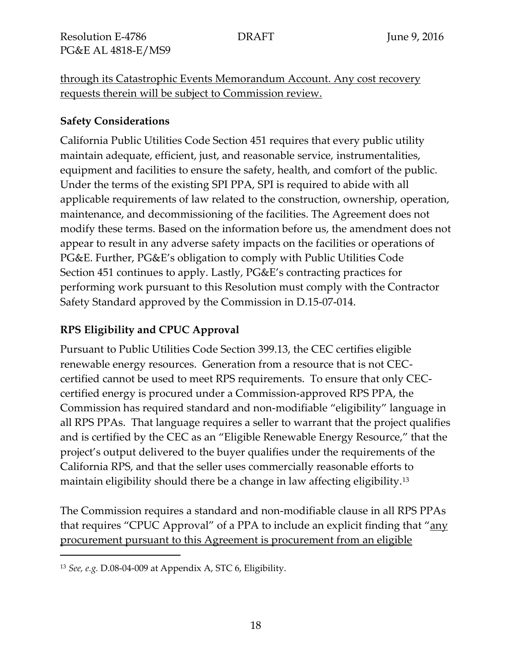through its Catastrophic Events Memorandum Account. Any cost recovery requests therein will be subject to Commission review.

#### **Safety Considerations**

California Public Utilities Code Section 451 requires that every public utility maintain adequate, efficient, just, and reasonable service, instrumentalities, equipment and facilities to ensure the safety, health, and comfort of the public. Under the terms of the existing SPI PPA, SPI is required to abide with all applicable requirements of law related to the construction, ownership, operation, maintenance, and decommissioning of the facilities. The Agreement does not modify these terms. Based on the information before us, the amendment does not appear to result in any adverse safety impacts on the facilities or operations of PG&E. Further, PG&E's obligation to comply with Public Utilities Code Section 451 continues to apply. Lastly, PG&E's contracting practices for performing work pursuant to this Resolution must comply with the Contractor Safety Standard approved by the Commission in D.15-07-014.

# **RPS Eligibility and CPUC Approval**

Pursuant to Public Utilities Code Section 399.13, the CEC certifies eligible renewable energy resources. Generation from a resource that is not CECcertified cannot be used to meet RPS requirements. To ensure that only CECcertified energy is procured under a Commission-approved RPS PPA, the Commission has required standard and non-modifiable "eligibility" language in all RPS PPAs. That language requires a seller to warrant that the project qualifies and is certified by the CEC as an "Eligible Renewable Energy Resource," that the project's output delivered to the buyer qualifies under the requirements of the California RPS, and that the seller uses commercially reasonable efforts to maintain eligibility should there be a change in law affecting eligibility.<sup>13</sup>

The Commission requires a standard and non-modifiable clause in all RPS PPAs that requires "CPUC Approval" of a PPA to include an explicit finding that "any procurement pursuant to this Agreement is procurement from an eligible

 $\overline{a}$ 

<sup>13</sup> *See, e.g.* D.08-04-009 at Appendix A, STC 6, Eligibility.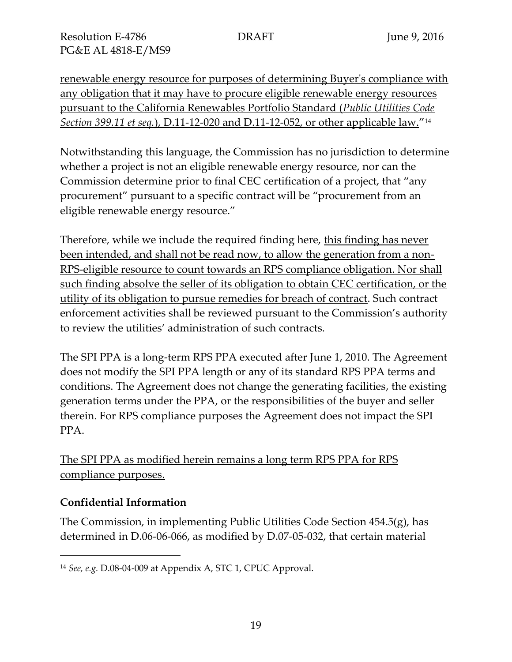renewable energy resource for purposes of determining Buyer's compliance with any obligation that it may have to procure eligible renewable energy resources pursuant to the California Renewables Portfolio Standard (*Public Utilities Code Section 399.11 et seq.*), D.11-12-020 and D.11-12-052, or other applicable law." 14

Notwithstanding this language, the Commission has no jurisdiction to determine whether a project is not an eligible renewable energy resource, nor can the Commission determine prior to final CEC certification of a project, that "any procurement" pursuant to a specific contract will be "procurement from an eligible renewable energy resource."

Therefore, while we include the required finding here, this finding has never been intended, and shall not be read now, to allow the generation from a non-RPS-eligible resource to count towards an RPS compliance obligation. Nor shall such finding absolve the seller of its obligation to obtain CEC certification, or the utility of its obligation to pursue remedies for breach of contract. Such contract enforcement activities shall be reviewed pursuant to the Commission's authority to review the utilities' administration of such contracts.

The SPI PPA is a long-term RPS PPA executed after June 1, 2010. The Agreement does not modify the SPI PPA length or any of its standard RPS PPA terms and conditions. The Agreement does not change the generating facilities, the existing generation terms under the PPA, or the responsibilities of the buyer and seller therein. For RPS compliance purposes the Agreement does not impact the SPI PPA.

The SPI PPA as modified herein remains a long term RPS PPA for RPS compliance purposes.

# **Confidential Information**

 $\overline{a}$ 

The Commission, in implementing Public Utilities Code Section 454.5(g), has determined in D.06-06-066, as modified by D.07-05-032, that certain material

<sup>14</sup> *See, e.g.* D.08-04-009 at Appendix A, STC 1, CPUC Approval.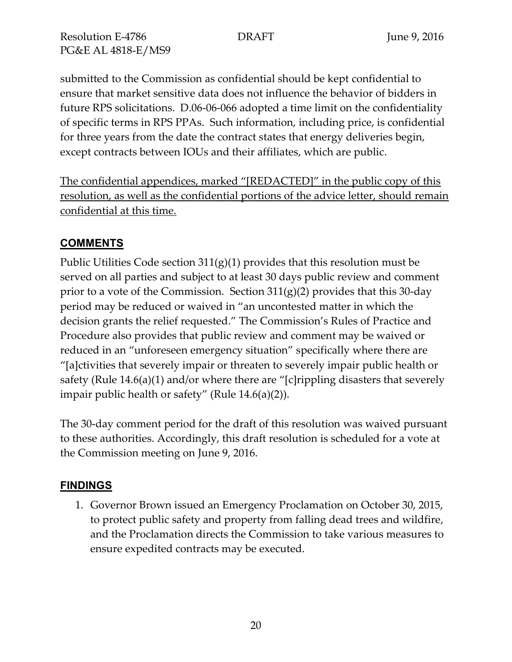submitted to the Commission as confidential should be kept confidential to ensure that market sensitive data does not influence the behavior of bidders in future RPS solicitations. D.06-06-066 adopted a time limit on the confidentiality of specific terms in RPS PPAs. Such information, including price, is confidential for three years from the date the contract states that energy deliveries begin, except contracts between IOUs and their affiliates, which are public.

The confidential appendices, marked "[REDACTED]" in the public copy of this resolution, as well as the confidential portions of the advice letter, should remain confidential at this time.

# **COMMENTS**

Public Utilities Code section  $311(g)(1)$  provides that this resolution must be served on all parties and subject to at least 30 days public review and comment prior to a vote of the Commission. Section  $311(g)(2)$  provides that this 30-day period may be reduced or waived in "an uncontested matter in which the decision grants the relief requested." The Commission's Rules of Practice and Procedure also provides that public review and comment may be waived or reduced in an "unforeseen emergency situation" specifically where there are "[a]ctivities that severely impair or threaten to severely impair public health or safety (Rule 14.6(a)(1) and/or where there are "[c]rippling disasters that severely impair public health or safety" (Rule 14.6(a)(2)).

The 30-day comment period for the draft of this resolution was waived pursuant to these authorities. Accordingly, this draft resolution is scheduled for a vote at the Commission meeting on June 9, 2016.

# **FINDINGS**

1. Governor Brown issued an Emergency Proclamation on October 30, 2015, to protect public safety and property from falling dead trees and wildfire, and the Proclamation directs the Commission to take various measures to ensure expedited contracts may be executed.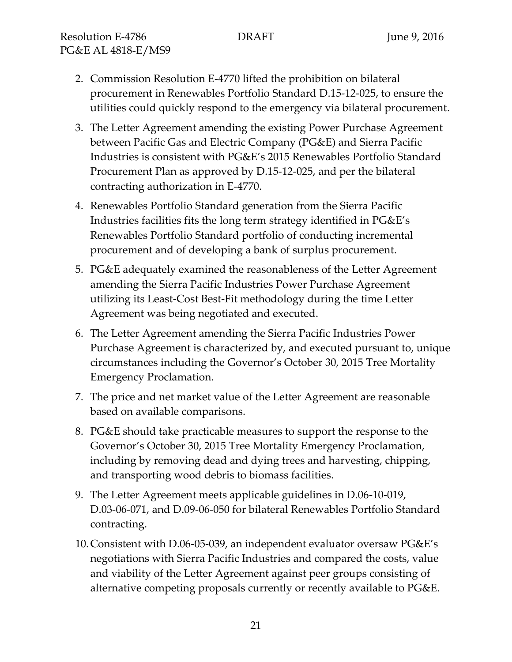- 2. Commission Resolution E-4770 lifted the prohibition on bilateral procurement in Renewables Portfolio Standard D.15-12-025, to ensure the utilities could quickly respond to the emergency via bilateral procurement.
- 3. The Letter Agreement amending the existing Power Purchase Agreement between Pacific Gas and Electric Company (PG&E) and Sierra Pacific Industries is consistent with PG&E's 2015 Renewables Portfolio Standard Procurement Plan as approved by D.15-12-025, and per the bilateral contracting authorization in E-4770.
- 4. Renewables Portfolio Standard generation from the Sierra Pacific Industries facilities fits the long term strategy identified in PG&E's Renewables Portfolio Standard portfolio of conducting incremental procurement and of developing a bank of surplus procurement.
- 5. PG&E adequately examined the reasonableness of the Letter Agreement amending the Sierra Pacific Industries Power Purchase Agreement utilizing its Least-Cost Best-Fit methodology during the time Letter Agreement was being negotiated and executed.
- 6. The Letter Agreement amending the Sierra Pacific Industries Power Purchase Agreement is characterized by, and executed pursuant to, unique circumstances including the Governor's October 30, 2015 Tree Mortality Emergency Proclamation.
- 7. The price and net market value of the Letter Agreement are reasonable based on available comparisons.
- 8. PG&E should take practicable measures to support the response to the Governor's October 30, 2015 Tree Mortality Emergency Proclamation, including by removing dead and dying trees and harvesting, chipping, and transporting wood debris to biomass facilities.
- 9. The Letter Agreement meets applicable guidelines in D.06-10-019, D.03-06-071, and D.09-06-050 for bilateral Renewables Portfolio Standard contracting.
- 10.Consistent with D.06-05-039, an independent evaluator oversaw PG&E's negotiations with Sierra Pacific Industries and compared the costs, value and viability of the Letter Agreement against peer groups consisting of alternative competing proposals currently or recently available to PG&E.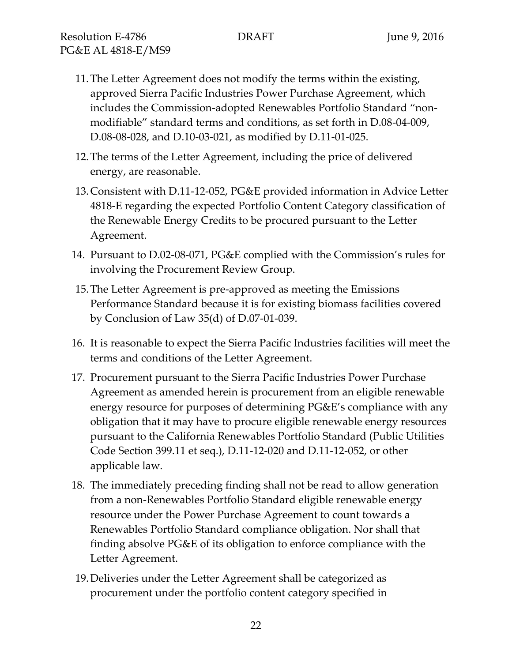- 11.The Letter Agreement does not modify the terms within the existing, approved Sierra Pacific Industries Power Purchase Agreement, which includes the Commission-adopted Renewables Portfolio Standard "nonmodifiable" standard terms and conditions, as set forth in D.08-04-009, D.08-08-028, and D.10-03-021, as modified by D.11-01-025.
- 12.The terms of the Letter Agreement, including the price of delivered energy, are reasonable.
- 13.Consistent with D.11-12-052, PG&E provided information in Advice Letter 4818-E regarding the expected Portfolio Content Category classification of the Renewable Energy Credits to be procured pursuant to the Letter Agreement.
- 14. Pursuant to D.02-08-071, PG&E complied with the Commission's rules for involving the Procurement Review Group.
- 15.The Letter Agreement is pre-approved as meeting the Emissions Performance Standard because it is for existing biomass facilities covered by Conclusion of Law 35(d) of D.07-01-039.
- 16. It is reasonable to expect the Sierra Pacific Industries facilities will meet the terms and conditions of the Letter Agreement.
- 17. Procurement pursuant to the Sierra Pacific Industries Power Purchase Agreement as amended herein is procurement from an eligible renewable energy resource for purposes of determining PG&E's compliance with any obligation that it may have to procure eligible renewable energy resources pursuant to the California Renewables Portfolio Standard (Public Utilities Code Section 399.11 et seq.), D.11-12-020 and D.11-12-052, or other applicable law.
- 18. The immediately preceding finding shall not be read to allow generation from a non-Renewables Portfolio Standard eligible renewable energy resource under the Power Purchase Agreement to count towards a Renewables Portfolio Standard compliance obligation. Nor shall that finding absolve PG&E of its obligation to enforce compliance with the Letter Agreement.
- 19.Deliveries under the Letter Agreement shall be categorized as procurement under the portfolio content category specified in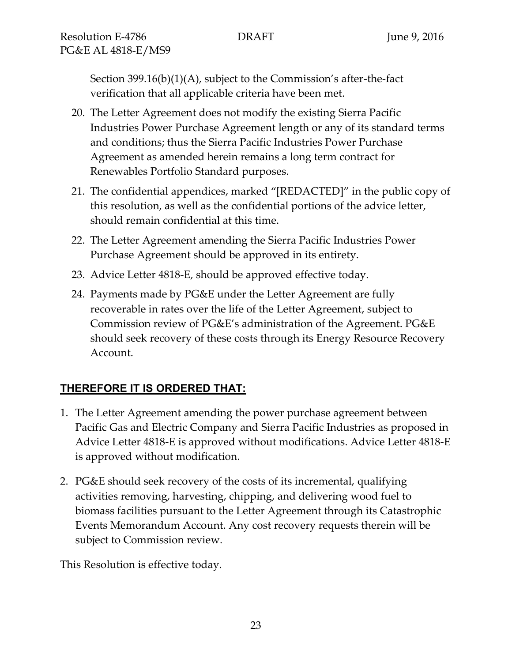Section 399.16(b)(1)(A), subject to the Commission's after-the-fact verification that all applicable criteria have been met.

- 20. The Letter Agreement does not modify the existing Sierra Pacific Industries Power Purchase Agreement length or any of its standard terms and conditions; thus the Sierra Pacific Industries Power Purchase Agreement as amended herein remains a long term contract for Renewables Portfolio Standard purposes.
- 21. The confidential appendices, marked "[REDACTED]" in the public copy of this resolution, as well as the confidential portions of the advice letter, should remain confidential at this time.
- 22. The Letter Agreement amending the Sierra Pacific Industries Power Purchase Agreement should be approved in its entirety.
- 23. Advice Letter 4818-E, should be approved effective today.
- 24. Payments made by PG&E under the Letter Agreement are fully recoverable in rates over the life of the Letter Agreement, subject to Commission review of PG&E's administration of the Agreement. PG&E should seek recovery of these costs through its Energy Resource Recovery Account.

# **THEREFORE IT IS ORDERED THAT:**

- 1. The Letter Agreement amending the power purchase agreement between Pacific Gas and Electric Company and Sierra Pacific Industries as proposed in Advice Letter 4818-E is approved without modifications. Advice Letter 4818-E is approved without modification.
- 2. PG&E should seek recovery of the costs of its incremental, qualifying activities removing, harvesting, chipping, and delivering wood fuel to biomass facilities pursuant to the Letter Agreement through its Catastrophic Events Memorandum Account. Any cost recovery requests therein will be subject to Commission review.

This Resolution is effective today.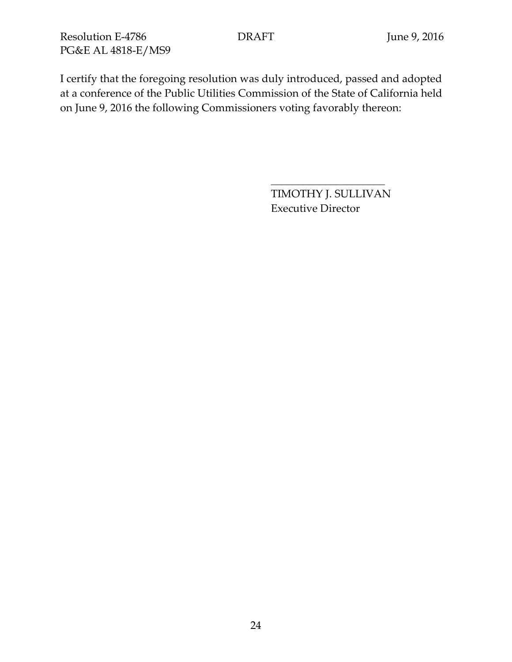I certify that the foregoing resolution was duly introduced, passed and adopted at a conference of the Public Utilities Commission of the State of California held on June 9, 2016 the following Commissioners voting favorably thereon:

> TIMOTHY J. SULLIVAN Executive Director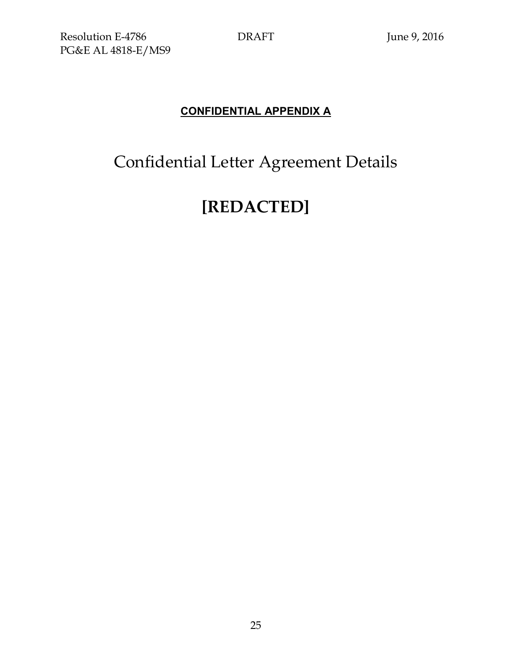# **CONFIDENTIAL APPENDIX A**

# Confidential Letter Agreement Details

# **[REDACTED]**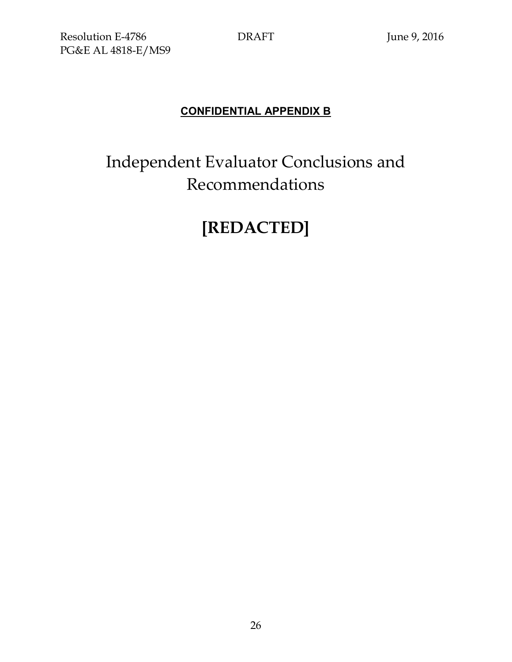# **CONFIDENTIAL APPENDIX B**

# Independent Evaluator Conclusions and Recommendations

# **[REDACTED]**